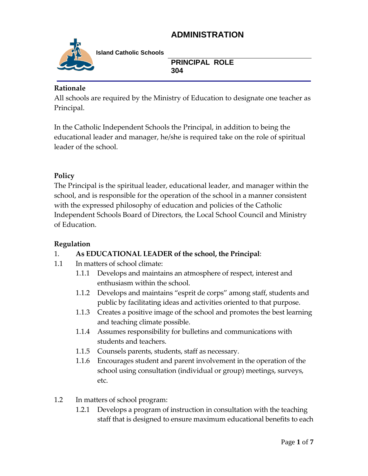

**Island Catholic Schools** 

**PRINCIPAL ROLE 304**

### **Rationale**

All schools are required by the Ministry of Education to designate one teacher as Principal.

In the Catholic Independent Schools the Principal, in addition to being the educational leader and manager, he/she is required take on the role of spiritual leader of the school.

### **Policy**

The Principal is the spiritual leader, educational leader, and manager within the school, and is responsible for the operation of the school in a manner consistent with the expressed philosophy of education and policies of the Catholic Independent Schools Board of Directors, the Local School Council and Ministry of Education.

### **Regulation**

### 1. **As EDUCATIONAL LEADER of the school, the Principal**:

- 1.1 In matters of school climate:
	- 1.1.1 Develops and maintains an atmosphere of respect, interest and enthusiasm within the school.
	- 1.1.2 Develops and maintains "esprit de corps" among staff, students and public by facilitating ideas and activities oriented to that purpose.
	- 1.1.3 Creates a positive image of the school and promotes the best learning and teaching climate possible.
	- 1.1.4 Assumes responsibility for bulletins and communications with students and teachers.
	- 1.1.5 Counsels parents, students, staff as necessary.
	- 1.1.6 Encourages student and parent involvement in the operation of the school using consultation (individual or group) meetings, surveys, etc.
- 1.2 In matters of school program:
	- 1.2.1 Develops a program of instruction in consultation with the teaching staff that is designed to ensure maximum educational benefits to each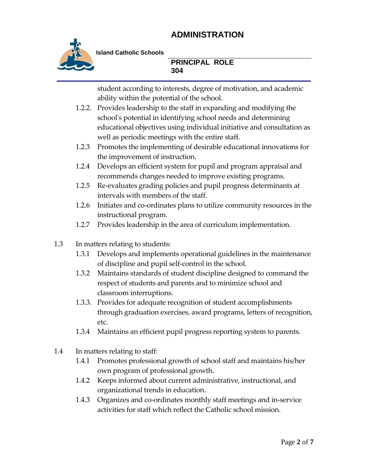

**Island Catholic Schools** 

#### **PRINCIPAL ROLE 304**

student according to interests, degree of motivation, and academic ability within the potential of the school.

- 1.2.2. Provides leadership to the staff in expanding and modifying the school's potential in identifying school needs and determining educational objectives using individual initiative and consultation as well as periodic meetings with the entire staff.
- 1.2.3 Promotes the implementing of desirable educational innovations for the improvement of instruction.
- 1.2.4 Develops an efficient system for pupil and program appraisal and recommends changes needed to improve existing programs.
- 1.2.5 Re-evaluates grading policies and pupil progress determinants at intervals with members of the staff.
- 1.2.6 Initiates and co-ordinates plans to utilize community resources in the instructional program.
- 1.2.7 Provides leadership in the area of curriculum implementation.
- 1.3 In matters relating to students:
	- 1.3.1 Develops and implements operational guidelines in the maintenance of discipline and pupil self-control in the school.
	- 1.3.2 Maintains standards of student discipline designed to command the respect of students and parents and to minimize school and classroom interruptions.
	- 1.3.3. Provides for adequate recognition of student accomplishments through graduation exercises, award programs, letters of recognition, etc.
	- 1.3.4 Maintains an efficient pupil progress reporting system to parents.
- 1.4 In matters relating to staff:
	- 1.4.1 Promotes professional growth of school staff and maintains his/her own program of professional growth.
	- 1.4.2 Keeps informed about current administrative, instructional, and organizational trends in education.
	- 1.4.3 Organizes and co-ordinates monthly staff meetings and in-service activities for staff which reflect the Catholic school mission.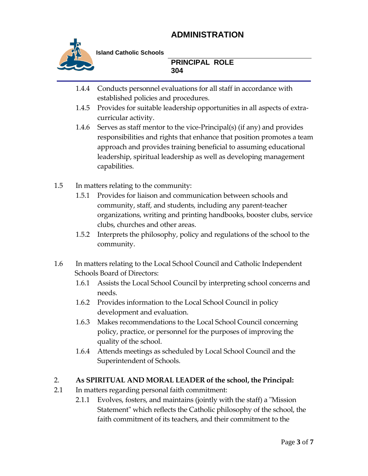

**Island Catholic Schools** 

**PRINCIPAL ROLE 304**

- 1.4.4 Conducts personnel evaluations for all staff in accordance with established policies and procedures.
- 1.4.5 Provides for suitable leadership opportunities in all aspects of extracurricular activity.
- 1.4.6 Serves as staff mentor to the vice-Principal(s) (if any) and provides responsibilities and rights that enhance that position promotes a team approach and provides training beneficial to assuming educational leadership, spiritual leadership as well as developing management capabilities.
- 1.5 In matters relating to the community:
	- 1.5.1 Provides for liaison and communication between schools and community, staff, and students, including any parent-teacher organizations, writing and printing handbooks, booster clubs, service clubs, churches and other areas.
	- 1.5.2 Interprets the philosophy, policy and regulations of the school to the community.
- 1.6 In matters relating to the Local School Council and Catholic Independent Schools Board of Directors:
	- 1.6.1 Assists the Local School Council by interpreting school concerns and needs.
	- 1.6.2 Provides information to the Local School Council in policy development and evaluation.
	- 1.6.3 Makes recommendations to the Local School Council concerning policy, practice, or personnel for the purposes of improving the quality of the school.
	- 1.6.4 Attends meetings as scheduled by Local School Council and the Superintendent of Schools.

### 2. **As SPIRITUAL AND MORAL LEADER of the school, the Principal:**

- 2.1 In matters regarding personal faith commitment:
	- 2.1.1 Evolves, fosters, and maintains (jointly with the staff) a "Mission Statement" which reflects the Catholic philosophy of the school, the faith commitment of its teachers, and their commitment to the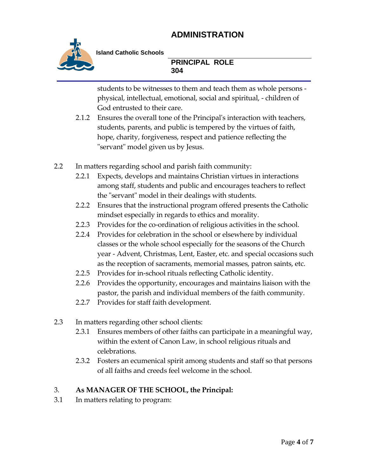

**Island Catholic Schools** 

**PRINCIPAL ROLE 304**

students to be witnesses to them and teach them as whole persons physical, intellectual, emotional, social and spiritual, - children of God entrusted to their care.

- 2.1.2 Ensures the overall tone of the Principal's interaction with teachers, students, parents, and public is tempered by the virtues of faith, hope, charity, forgiveness, respect and patience reflecting the "servant" model given us by Jesus.
- 2.2 In matters regarding school and parish faith community:
	- 2.2.1 Expects, develops and maintains Christian virtues in interactions among staff, students and public and encourages teachers to reflect the "servant" model in their dealings with students.
	- 2.2.2 Ensures that the instructional program offered presents the Catholic mindset especially in regards to ethics and morality.
	- 2.2.3 Provides for the co-ordination of religious activities in the school.
	- 2.2.4 Provides for celebration in the school or elsewhere by individual classes or the whole school especially for the seasons of the Church year - Advent, Christmas, Lent, Easter, etc. and special occasions such as the reception of sacraments, memorial masses, patron saints, etc.
	- 2.2.5 Provides for in-school rituals reflecting Catholic identity.
	- 2.2.6 Provides the opportunity, encourages and maintains liaison with the pastor, the parish and individual members of the faith community.
	- 2.2.7 Provides for staff faith development.
- 2.3 In matters regarding other school clients:
	- 2.3.1 Ensures members of other faiths can participate in a meaningful way, within the extent of Canon Law, in school religious rituals and celebrations.
	- 2.3.2 Fosters an ecumenical spirit among students and staff so that persons of all faiths and creeds feel welcome in the school.

#### 3. **As MANAGER OF THE SCHOOL, the Principal:**

3.1 In matters relating to program: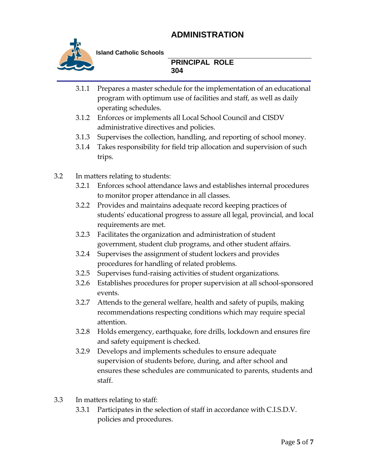

**Island Catholic Schools** 

**PRINCIPAL ROLE 304**

- 3.1.1 Prepares a master schedule for the implementation of an educational program with optimum use of facilities and staff, as well as daily operating schedules.
- 3.1.2 Enforces or implements all Local School Council and CISDV administrative directives and policies.
- 3.1.3 Supervises the collection, handling, and reporting of school money.
- 3.1.4 Takes responsibility for field trip allocation and supervision of such trips.

3.2 In matters relating to students:

- 3.2.1 Enforces school attendance laws and establishes internal procedures to monitor proper attendance in all classes.
- 3.2.2 Provides and maintains adequate record keeping practices of students' educational progress to assure all legal, provincial, and local requirements are met.
- 3.2.3 Facilitates the organization and administration of student government, student club programs, and other student affairs.
- 3.2.4 Supervises the assignment of student lockers and provides procedures for handling of related problems.
- 3.2.5 Supervises fund-raising activities of student organizations.
- 3.2.6 Establishes procedures for proper supervision at all school-sponsored events.
- 3.2.7 Attends to the general welfare, health and safety of pupils, making recommendations respecting conditions which may require special attention.
- 3.2.8 Holds emergency, earthquake, fore drills, lockdown and ensures fire and safety equipment is checked.
- 3.2.9 Develops and implements schedules to ensure adequate supervision of students before, during, and after school and ensures these schedules are communicated to parents, students and staff.
- 3.3 In matters relating to staff:
	- 3.3.1 Participates in the selection of staff in accordance with C.I.S.D.V. policies and procedures.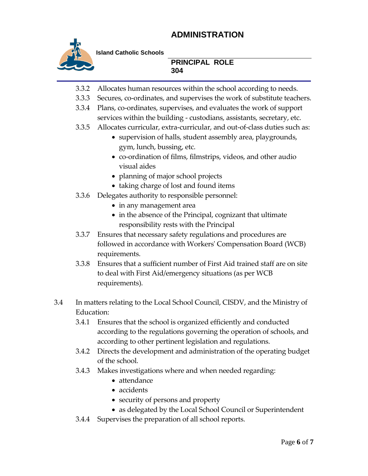

**Island Catholic Schools** 

#### **PRINCIPAL ROLE 304**

- 3.3.2 Allocates human resources within the school according to needs.
- 3.3.3 Secures, co-ordinates, and supervises the work of substitute teachers.
- 3.3.4 Plans, co-ordinates, supervises, and evaluates the work of support services within the building - custodians, assistants, secretary, etc.
- 3.3.5 Allocates curricular, extra-curricular, and out-of-class duties such as:
	- supervision of halls, student assembly area, playgrounds, gym, lunch, bussing, etc.
	- co-ordination of films, filmstrips, videos, and other audio visual aides
	- planning of major school projects
	- taking charge of lost and found items
- 3.3.6 Delegates authority to responsible personnel:
	- in any management area
	- in the absence of the Principal, cognizant that ultimate responsibility rests with the Principal
- 3.3.7 Ensures that necessary safety regulations and procedures are followed in accordance with Workers' Compensation Board (WCB) requirements.
- 3.3.8 Ensures that a sufficient number of First Aid trained staff are on site to deal with First Aid/emergency situations (as per WCB requirements).
- 3.4 In matters relating to the Local School Council, CISDV, and the Ministry of Education:
	- 3.4.1 Ensures that the school is organized efficiently and conducted according to the regulations governing the operation of schools, and according to other pertinent legislation and regulations.
	- 3.4.2 Directs the development and administration of the operating budget of the school.
	- 3.4.3 Makes investigations where and when needed regarding:
		- attendance
		- accidents
		- security of persons and property
		- as delegated by the Local School Council or Superintendent
	- 3.4.4 Supervises the preparation of all school reports.